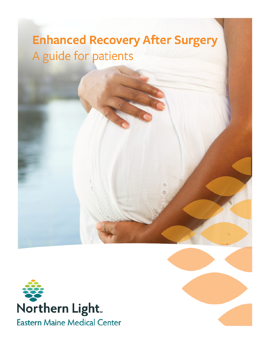# **Enhanced Recovery After Surgery** A guide for patients

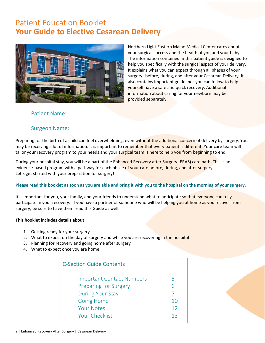# Patient Education Booklet **Your Guide to Elective Cesarean Delivery**



Northern Light Eastern Maine Medical Center cares about your surgical success and the health of you and your baby. The information contained in this patient guide is designed to help you specifically with the surgical aspect of your delivery. It explains what you can expect through all phases of your surgery--before, during, and after your Cesarean Delivery. It also contains important guidelines you can follow to help yourself have a safe and quick recovery. Additional information about caring for your newborn may be provided separately.

#### Patient Name:

### Surgeon Name:

Preparing for the birth of a child can feel overwhelming, even without the additional concern of delivery by surgery. You may be receiving a lot of information. It is important to remember that every patient is different. Your care team will tailor your recovery program to your needs and your surgical team is here to help you from beginning to end.

During your hospital stay, you will be a part of the Enhanced Recovery after Surgery (ERAS) care path. This is an evidence-based program with a pathway for each phase of your care before, during, and after surgery. Let's get started with your preparation for surgery!

#### **Please read this booklet as soon as you are able and bring it with you to the hospital on the morning of your surgery.**

It is important for you, your family, and your friends to understand what to anticipate so that everyone can fully participate in your recovery. If you have a partner or someone who will be helping you at home as you recover from surgery, be sure to have them read this Guide as well.

#### **This booklet includes details about**

- 1. Getting ready for your surgery
- 2. What to expect on the day of surgery and while you are recovering in the hospital
- 3. Planning for recovery and going home after surgery
- 4. What to expect once you are home

| <b>C-Section Guide Contents</b>  |     |  |  |
|----------------------------------|-----|--|--|
| <b>Important Contact Numbers</b> | 5   |  |  |
| <b>Preparing for Surgery</b>     | 6   |  |  |
| <b>During Your Stay</b>          |     |  |  |
| <b>Going Home</b>                | 10  |  |  |
| <b>Your Notes</b>                | 12  |  |  |
| <b>Your Checklist</b>            | 1 ว |  |  |
|                                  |     |  |  |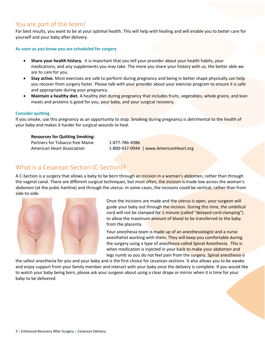### You are part of the team!

For best results, you want to be at your optimal health. This will help with healing and will enable you to better care for yourself and your baby after delivery.

#### **As soon as you know you are scheduled for surgery**

- **Share your health history.** It is important that you tell your provider about your health habits, your medications, and any supplements you may take. The more you share your history with us, the better able we are to care for you.
- **Stay active.** Most exercises are safe to perform during pregnancy and being in better shape physically can help you recover from surgery faster. Please talk with your provider about your exercise program to ensure it is safe and appropriate during your pregnancy.
- **Maintain a healthy diet.** A healthy diet during pregnancy that includes fruits, vegetables, whole grains, and lean meats and proteins is good for you, your baby, and your surgical recovery**.**

#### **Consider quitting**

If you smoke, use this pregnancy as an opportunity to stop. Smoking during pregnancy is detrimental to the health of your baby and makes it harder for surgical wounds to heal.

#### **Resources for Quitting Smoking:**

Partners for Tobacco free Maine 1-877-786-4986

American Heart Association 1-800-937-0944 | www.AmericanHeart.org

### What is a Cesarean Section (C-Section)?

A C-Section is a surgery that allows a baby to be born through an incision in a woman's abdomen, rather than through the vaginal canal. There are different surgical techniques, but most often, the incision is made low across the woman's abdomen (at the pubic hairline) and through the uterus. In some cases, the incisions could be vertical, rather than from side-to-side.



Once the incisions are made and the uterus is open, your surgeon will guide your baby out through the incision. During this time, the umbilical cord will not be clamped for 1 minute (called "delayed cord clamping") to allow the maximum amount of blood to be transferred to the baby from the placenta.

Your anesthesia team is made up of an anesthesiologist and a nurse anesthetist working with them. They will keep you comfortable during the surgery using a type of anesthesia called Spinal Anesthesia. This is when medication is injected in your back to make your abdomen and legs numb so you do not feel pain from the surgery. Spinal anesthesia is

the safest anesthesia for you and your baby and is the first choice for cesarean sections. It also allows you to be awake and enjoy support from your family member and interact with your baby once the delivery is complete. If you would like to watch your baby being born, please ask your surgeon about using a clear drape or mirror when it is time for your baby to be delivered.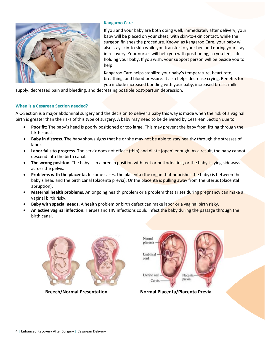

#### **Kangaroo Care**

If you and your baby are both doing well, immediately after delivery, your baby will be placed on your chest, with skin-to-skin contact, while the surgeon finishes the procedure. Known as Kangaroo Care, your baby will also stay skin-to-skin while you transfer to your bed and during your stay in recovery. Your nurses will help you with positioning, so you feel safe holding your baby. If you wish, your support person will be beside you to help.

Kangaroo Care helps stabilize your baby's temperature, heart rate, breathing, and blood pressure. It also helps decrease crying. Benefits for you include increased bonding with your baby, increased breast milk

supply, decreased pain and bleeding, and decreasing possible post-partum depression.

#### **When is a Cesarean Section needed?**

A C-Section is a major abdominal surgery and the decision to deliver a baby this way is made when the risk of a vaginal birth is greater than the risks of this type of surgery. A baby may need to be delivered by Cesarean Section due to:

- **Poor fit:** The baby's head is poorly positioned or too large. This may prevent the baby from fitting through the birth canal.
- **Baby in distress.** The baby shows signs that he or she may not be able to stay healthy through the stresses of labor.
- Labor fails to progress. The cervix does not efface (thin) and dilate (open) enough. As a result, the baby cannot descend into the birth canal.
- **The wrong position.** The baby is in a breech position with feet or buttocks first, or the baby is lying sideways across the pelvis.
- **Problems with the placenta.** In some cases, the placenta (the organ that nourishes the baby) is between the baby's head and the birth canal (placenta previa). Or the placenta is pulling away from the uterus (placental abruption).
- **Maternal health problems.** An ongoing health problem or a problem that arises during pregnancy can make a vaginal birth risky.
- **Baby with special needs.** A health problem or birth defect can make labor or a vaginal birth risky.
- **An active vaginal infection.** Herpes and HIV infections could infect the baby during the passage through the birth canal.





 **Breech/Normal Presentation Normal Placenta/Placenta Previa**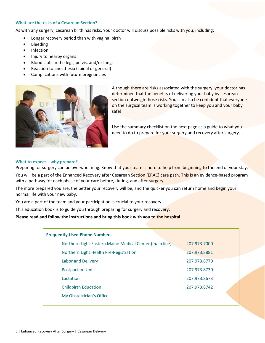#### **What are the risks of a Cesarean Section?**

As with any surgery, cesarean birth has risks. Your doctor will discuss possible risks with you, including:

- Longer recovery period than with vaginal birth
- Bleeding
- Infection
- Injury to nearby organs
- Blood clots in the legs, pelvis, and/or lungs
- Reaction to anesthesia (spinal or general)
- Complications with future pregnancies



Although there are risks associated with the surgery, your doctor has determined that the benefits of delivering your baby by cesarean section outweigh those risks. You can also be confident that everyone on the surgical team is working together to keep you and your baby safe!

Use the summary checklist on the next page as a guide to what you need to do to prepare for your surgery and recovery after surgery.

#### **What to expect – why prepare?**

Preparing for surgery can be overwhelming. Know that your team is here to help from beginning to the end of your stay.

You will be a part of the Enhanced Recovery after Cesarean Section (ERAC) care path. This is an evidence-based program with a pathway for each phase of your care before, during, and after surgery.

The more prepared you are, the better your recovery will be, and the quicker you can return home and begin your normal life with your new baby.

You are a part of the team and your participation is crucial to your recovery.

This education book is to guide you through preparing for surgery and recovery.

Please read and follow the instructions and bring this book with you to the hospital.

| <b>Frequently Used Phone Numbers</b>                    |              |  |  |
|---------------------------------------------------------|--------------|--|--|
| Northern Light Eastern Maine Medical Center (main line) | 207.973.7000 |  |  |
| Northern Light Health Pre-Registration                  | 207.973.8881 |  |  |
| <b>Labor and Delivery</b>                               | 207.973.8770 |  |  |
| Postpartum Unit                                         | 207.973.8730 |  |  |
| Lactation                                               | 207.973.8673 |  |  |
| <b>Childbirth Education</b>                             | 207.973.8742 |  |  |
| My Obstetrician's Office                                |              |  |  |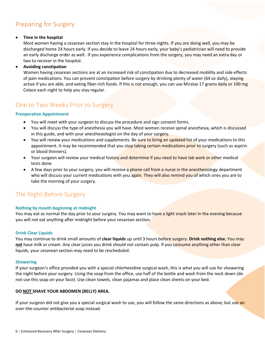### Preparing for Surgery

#### **Time in the hospital**

Most women having a cesarean section stay in the hospital for three nights. If you are doing well, you may be discharged home 24 hours early. If you decide to leave 24 hours early, your baby's pediatrician will need to provide an early discharge order as well. If you experience complications from the surgery, you may need an extra day or two to recover in the hospital.

#### **Avoiding constipation**

Women having cesarean sections are at an increased risk of constipation due to decreased mobility and side effects of pain medications. You can prevent constipation before surgery by drinking plenty of water (64 oz daily), staying active if you are able, and eating fiber-rich foods. If this is not enough, you can use Miralax 17 grams daily or 100 mg Colace each night to help you stay regular.

### One to Two Weeks Prior to Surgery

#### **Preoperative Appointment**

- You will meet with your surgeon to discuss the procedure and sign consent forms.
- You will discuss the type of anesthesia you will have. Most women receive spinal anesthesia, which is discussed in this guide, and with your anesthesiologist on the day of your surgery.
- You will review your medications and supplements. Be sure to bring an updated list of your medications to this appointment. It may be recommended that you stop taking certain medications prior to surgery (such as aspirin or blood thinners).
- Your surgeon will review your medical history and determine if you need to have lab work or other medical tests done.
- A few days prior to your surgery, you will receive a phone call from a nurse in the anesthesiology department who will discuss your current medications with you again. They will also remind you of which ones you are to take the morning of your surgery.

### The Night Before Surgery

#### **Nothing by mouth beginning at midnight**

You may eat as normal the day prior to your surgery. You may want to have a light snack later in the evening because you will not eat anything after midnight before your cesarean section.

#### **Drink Clear Liquids**

You may continue to drink small amounts of **clear liquids** up until 3 hours before surgery. **Drink nothing else.** You may **not** have milk or cream. Any clear juices you drink should not contain pulp. If you consume anything other than clear liquids, your cesarean section may need to be rescheduled.

#### **Showering**

If your surgeon's office provided you with a special chlorhexidine surgical wash, this is what you will use for showering the night before your surgery. Using the soap from the office, use half of the bottle and wash from the neck down (do not use this soap on your face). Use clean towels, clean pajamas and place clean sheets on your bed.

#### **DO NOT SHAVE YOUR ABDOMEN (BELLY) AREA.**

If your surgeon did not give you a special surgical wash to use, you will follow the same directions as above, but use an over-the-counter antibacterial soap instead.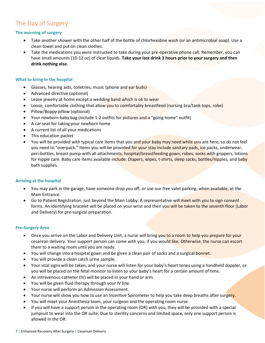### The Day of Surgery

#### **The morning of surgery**

- Take another shower with the other half of the bottle of chlorhexidine wash (or an antimicrobial soap). Use a clean towel and put on clean clothes.
- Take the medications you were instructed to take during your pre-operative phone call. Remember, you can have small amounts (10-12 oz) of clear liquids. **Take your last drink 3 hours prior to your surgery and then drink nothing else.**

#### **What to bring in the hospital**

- Glasses, hearing aids, toiletries, music (phone and ear buds)
- Advanced directive (optional)
- Leave jewelry at home except a wedding band which is ok to wear
- Loose, comfortable clothing that allow you to comfortably breastfeed (nursing bra/tank-tops, robe)
- Pillow/Boppy pillow (optional)
- Your newborn baby bag (include 1-2 outfits for pictures and a "going home" outfit)
- A car seat for taking your newborn home
- A current list of all your medications
- This education packet
- You will be provided with typical care items that you and your baby may need while you are here, so do not feel you need to "overpack." Items you will be provided for your stay include sanitary pads, ice packs, underwear, peri-bottles, breast pump-with all attachments, hospital/breastfeeding gown, robes, socks with grippers, lotions for nipple care. Baby care items available include: Diapers, wipes, t-shirts, sleep sacks, bottles/nipples, and baby bath supplies.

#### **Arriving at the hospital**

- You may park in the garage, have someone drop you off, or use our free valet parking, when available, at the Main Entrance.
- Go to Patient Registration, just beyond the Main Lobby. A representative will meet with you to sign consent forms. An identifying bracelet will be placed on your wrist and then you will be taken to the seventh floor (Labor and Delivery) for pre-surgical preparation.

#### **Pre-Surgery Area**

- Once you arrive on the Labor and Delivery Unit, a nurse will bring you to a room to help you prepare for your cesarean delivery. Your support person can come with you, if you would like. Otherwise, the nurse can escort them to a waiting room until you are ready.
- You will change into a hospital gown and be given a clean pair of socks and a surgical bonnet.
- You will provide a clean catch urine sample.
- Your vital signs will be taken, and your nurse will listen for your baby's heart tones using a handheld doppler, or you will be placed on the fetal monitor to listen to your baby's heart for a certain amount of time.
- An intravenous catheter (IV) will be placed in your hand or arm.
- You will be given fluid therapy through your IV line.
- Your nurse will perform an Admission Assessment.
- Your nurse will show you how to use an Incentive Spirometer to help you take deep breaths after surgery.
- You will meet your Anesthesia team, your surgeon and the operating room nurse.
- If you will have a support person in the operating room (OR) with you, they will be provided with a special jumpsuit to wear into the OR suite. Due to sterility concerns and limited space, only one support person is allowed in the OR.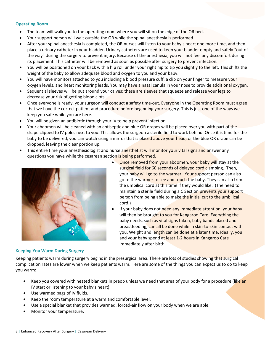#### **Operating Room**

- The team will walk you to the operating room where you will sit on the edge of the OR bed.
- Your support person will wait outside the OR while the spinal anesthesia is performed.
- After your spinal anesthesia is completed, the OR nurses will listen to your baby's heart one more time, and then place a urinary catheter in your bladder. Urinary catheters are used to keep your bladder empty and safely "out of the way" during the surgery to prevent injury. Because of the anesthesia, you will not feel any discomfort during its placement. This catheter will be removed as soon as possible after surgery to prevent infection.
- You will be positioned on your back with a hip roll under your right hip to tip you slightly to the left. This shifts the weight of the baby to allow adequate blood and oxygen to you and your baby.
- You will have monitors attached to you including a blood pressure cuff, a clip on your finger to measure your oxygen levels, and heart monitoring leads. You may have a nasal canula in your nose to provide additional oxygen.
- Sequential sleeves will be put around your calves; these are sleeves that squeeze and release your legs to decrease your risk of getting blood clots.
- Once everyone is ready, your surgeon will conduct a safety time-out. Everyone in the Operating Room must agree that we have the correct patient and procedure before beginning your surgery. This is just one of the ways we keep you safe while you are here.
- You will be given an antibiotic through your IV to help prevent infection.
- Your abdomen will be cleaned with an antiseptic and blue OR drapes will be placed over you with part of the drape clipped to IV poles next to you. This allows the surgeon a sterile field to work behind. Once it is time for the baby to be delivered, you can watch using a mirror that is placed above your head, or the blue OR drape can be dropped, leaving the clear portion up.
- This entire time your anesthesiologist and nurse anesthetist will monitor your vital signs and answer any questions you have while the cesarean section is being performed.



- Once removed from your abdomen, your baby will stay at the surgical field for 60 seconds of delayed cord clamping. Then, your baby will go to the warmer. Your support person can also go to the warmer to see and touch the baby. They can also trim the umbilical cord at this time if they would like. (The need to maintain a sterile field during a C Section prevents your support person from being able to make the initial cut to the umbilical cord.)
- If your baby does not need any immediate attention, your baby will then be brought to you for Kangaroo Care. Everything the baby needs, such as vital signs taken, baby bands placed and breastfeeding, can all be done while in skin-to-skin contact with you. Weight and length can be done at a later time. Ideally, you and your baby spend at least 1-2 hours in Kangaroo Care immediately after birth.

#### **Keeping You Warm During Surgery**

Keeping patients warm during surgery begins in the presurgical area. There are lots of studies showing that surgical complication rates are lower when we keep patients warm. Here are some of the things you can expect us to do to keep you warm:

- Keep you covered with heated blankets in preop unless we need that area of your body for a procedure (like an IV start or listening to your baby's heart).
- Use warmed bags of IV fluids.
- Keep the room temperature at a warm and comfortable level.
- Use a special blanket that provides warmed, forced-air flow on your body when we are able.
- Monitor your temperature.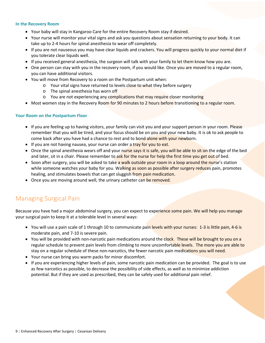#### **In the Recovery Room**

- Your baby will stay in Kangaroo Care for the entire Recovery Room stay if desired.
- Your nurse will monitor your vital signs and ask you questions about sensation returning to your body. It can take up to 2-4 hours for spinal anesthesia to wear off completely.
- If you are not nauseous you may have clear liquids and crackers. You will progress quickly to your normal diet if you tolerate clear liquids well.
- If you received general anesthesia, the surgeon will talk with your family to let them know how you are.
- One person can stay with you in the recovery room, if you would like. Once you are moved to a regular room, you can have additional visitors.
- You will move from Recovery to a room on the Postpartum unit when:
	- o Your vital signs have returned to levels close to what they before surgery
	- o The spinal anesthesia has worn off
	- o You are not experiencing any complications that may require closer monitoring
- Most women stay in the Recovery Room for 90 minutes to 2 hours before transitioning to a regular room.

#### **Your Room on the Postpartum Floor**

- If you are feeling up to having visitors, your family can visit you and your support person in your room. Please remember that you will be tired, and your focus should be on you and your new baby. It is ok to ask people to come back after you have had a chance to rest and to bond alone with your newborn.
- If you are not having nausea, your nurse can order a tray for you to eat.
- Once the spinal anesthesia wears off and your nurse says it is safe, you will be able to sit on the edge of the bed and later, sit in a chair. Please remember to ask for the nurse for help the first time you get out of bed.
- Soon after surgery, you will be asked to take a walk outside your room in a loop around the nurse's station while someone watches your baby for you. Walking as soon as possible after surgery reduces pain, promotes healing, and stimulates bowels that can get sluggish from pain medication.
- Once you are moving around well, the urinary catheter can be removed.

### Managing Surgical Pain

Because you have had a major abdominal surgery, you can expect to experience some pain. We will help you manage your surgical pain to keep it at a tolerable level in several ways:

- You will use a pain scale of 1 through 10 to communicate pain levels with your nurses: 1-3 is little pain, 4-6 is moderate pain, and 7-10 is severe pain.
- You will be provided with non-narcotic pain medications around the clock. These will be brought to you on a regular schedule to prevent pain levels from climbing to more uncomfortable levels. The more you are able to stay on a regular schedule of these non-narcotics, the fewer narcotic pain medications you will need.
- Your nurse can bring you warm packs for minor discomfort.
- If you are experiencing higher levels of pain, some narcotic pain medication can be provided. The goal is to use as few narcotics as possible, to decrease the possibility of side effects, as well as to minimize addiction potential. But if they are used as prescribed, they can be safely used for additional pain relief.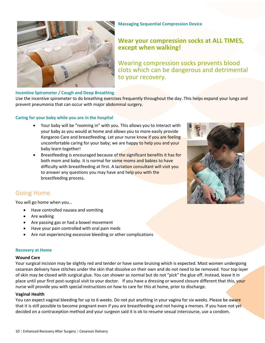

#### **Massaging Sequential Compression Device**

### **Wear your compression socks at ALL TIMES, except when walking!**

Wearing compression socks prevents blood clots which can be dangerous and detrimental to your recovery.

#### **Incentive Spirometer / Cough and Deep Breathing**

Use the incentive spirometer to do breathing exercises frequently throughout the day. This helps expand your lungs and prevent pneumonia that can occur with major abdominal surgery.

#### **Caring for your baby while you are in the hospital**

- Your baby will be "rooming in" with you. This allows you to interact with your baby as you would at home and allows you to more easily provide Kangaroo Care and breastfeeding. Let your nurse know if you are feeling uncomfortable caring for your baby; we are happy to help you and your baby learn together!
- Breastfeeding is encouraged because of the significant benefits it has for both mom and baby. It is normal for some moms and babies to have difficulty with breastfeeding at first. A lactation consultant will visit you to answer any questions you may have and help you with the breastfeeding process.



### Going Home

You will go home when you…

- Have controlled nausea and vomiting
- Are walking
- Are passing gas or had a bowel movement
- Have your pain controlled with oral pain meds
- Are not experiencing excessive bleeding or other complications

#### **Recovery at Home**

#### **Wound Care**

Your surgical incision may be slightly red and tender or have some bruising which is expected. Most women undergoing cesarean delivery have stitches under the skin that dissolve on their own and do not need to be removed. Your top layer of skin may be closed with surgical glue. You can shower as normal but do not "pick" the glue off. Instead, leave it in place until your first post-surgical visit to your doctor. If you have a dressing or wound closure different that this, your nurse will provide you with special instructions on how to care for this at home, prior to discharge.

#### **Vaginal Health**

You can expect vaginal bleeding for up to 6 weeks. Do not put anything in your vagina for six weeks. Please be aware that it is still possible to become pregnant even if you are breastfeeding and not having a menses. If you have not yet decided on a contraception method and your surgeon said it is ok to resume sexual intercourse, use a condom.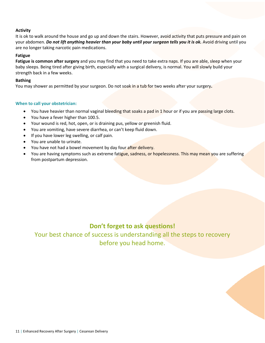#### **Activity**

It is ok to walk around the house and go up and down the stairs. However, avoid activity that puts pressure and pain on your abdomen. *Do not lift anything heavier than your baby until your surgeon tells you it is ok.* Avoid driving until you are no longer taking narcotic pain medications.

#### **Fatigue**

**Fatigue is common after surgery** and you may find that you need to take extra naps. If you are able, sleep when your baby sleeps. Being tired after giving birth, especially with a surgical delivery, is normal. You will slowly build your strength back in a few weeks.

#### **Bathing**

You may shower as permitted by your surgeon. Do not soak in a tub for two weeks after your surgery**.** 

#### **When to call your obstetrician:**

- You have heavier than normal vaginal bleeding that soaks a pad in 1 hour or if you are passing large clots.
- You have a fever higher than 100.5.
- Your wound is red, hot, open, or is draining pus, yellow or greenish fluid.
- You are vomiting, have severe diarrhea, or can't keep fluid down.
- If you have lower leg swelling, or calf pain.
- You are unable to urinate.
- You have not had a bowel movement by day four after delivery.
- You are having symptoms such as extreme fatigue, sadness, or hopelessness. This may mean you are suffering from postpartum depression.

### **Don't forget to ask questions!**

Your best chance of success is understanding all the steps to recovery before you head home.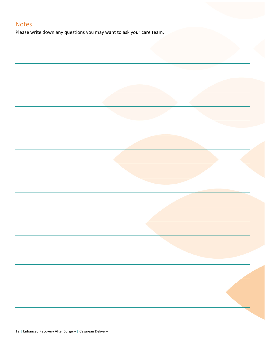### Notes

Please write down any questions you may want to ask your care team.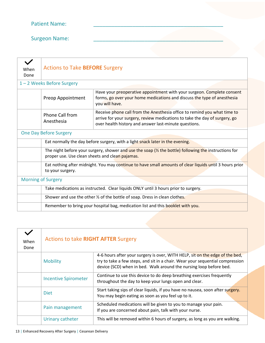Surgeon Name:

| <b>Actions to Take BEFORE Surgery</b>                                                                                                                              |                                                                                                                                                                                                                 |  |  |
|--------------------------------------------------------------------------------------------------------------------------------------------------------------------|-----------------------------------------------------------------------------------------------------------------------------------------------------------------------------------------------------------------|--|--|
| 1-2 Weeks Before Surgery                                                                                                                                           |                                                                                                                                                                                                                 |  |  |
| Preop Appointment                                                                                                                                                  | Have your preoperative appointment with your surgeon. Complete consent<br>forms, go over your home medications and discuss the type of anesthesia<br>you will have.                                             |  |  |
| Phone Call from<br>Anesthesia                                                                                                                                      | Receive phone call from the Anesthesia office to remind you what time to<br>arrive for your surgery, review medications to take the day of surgery, go<br>over health history and answer last-minute questions. |  |  |
| <b>One Day Before Surgery</b>                                                                                                                                      |                                                                                                                                                                                                                 |  |  |
| Eat normally the day before surgery, with a light snack later in the evening.                                                                                      |                                                                                                                                                                                                                 |  |  |
| The night before your surgery, shower and use the soap $\frac{1}{2}$ the bottle) following the instructions for<br>proper use. Use clean sheets and clean pajamas. |                                                                                                                                                                                                                 |  |  |
| Eat nothing after midnight. You may continue to have small amounts of clear liquids until 3 hours prior<br>to your surgery.                                        |                                                                                                                                                                                                                 |  |  |
| <b>Morning of Surgery</b>                                                                                                                                          |                                                                                                                                                                                                                 |  |  |
| Take medications as instructed. Clear liquids ONLY until 3 hours prior to surgery.                                                                                 |                                                                                                                                                                                                                 |  |  |
| Shower and use the other 1/2 of the bottle of soap. Dress in clean clothes.                                                                                        |                                                                                                                                                                                                                 |  |  |
| Remember to bring your hospital bag, medication list and this booklet with you.                                                                                    |                                                                                                                                                                                                                 |  |  |
|                                                                                                                                                                    |                                                                                                                                                                                                                 |  |  |

| When<br>Done | <b>Actions to take RIGHT AFTER Surgery</b> |                                                                                                                                                                                                                                     |
|--------------|--------------------------------------------|-------------------------------------------------------------------------------------------------------------------------------------------------------------------------------------------------------------------------------------|
|              | <b>Mobility</b>                            | 4-6 hours after your surgery is over, WITH HELP, sit on the edge of the bed,<br>try to take a few steps, and sit in a chair. Wear your sequential compression<br>device (SCD) when in bed. Walk around the nursing loop before bed. |
|              | <b>Incentive Spirometer</b>                | Continue to use this device to do deep breathing exercises frequently<br>throughout the day to keep your lungs open and clear.                                                                                                      |
|              | <b>Diet</b>                                | Start taking sips of clear liquids, if you have no nausea, soon after surgery.<br>You may begin eating as soon as you feel up to it.                                                                                                |
|              | Pain management                            | Scheduled medications will be given to you to manage your pain.<br>If you are concerned about pain, talk with your nurse.                                                                                                           |
|              | Urinary catheter                           | This will be removed within 6 hours of surgery, as long as you are walking.                                                                                                                                                         |